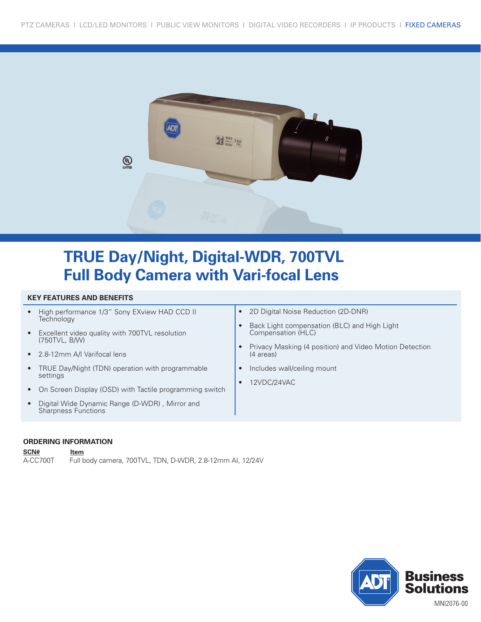

# **TRUE Day/Night, Digital-WDR, 700TVL Full Body Camera with Vari-focal Lens**

### **KEY FEATURES AND BENEFITS**

| High performance 1/3" Sony EXview HAD CCD II<br><b>Technology</b><br>Excellent video quality with 700TVL resolution<br>$\bullet$<br>(750TVL, B/W)<br>• 2.8-12mm A/I Varifocal lens<br>• TRUE Day/Night (TDN) operation with programmable<br>settings<br>• On Screen Display (OSD) with Tactile programming switch | 2D Digital Noise Reduction (2D-DNR)<br>$\bullet$<br>Back Light compensation (BLC) and High Light<br>Compensation (HLC)<br>Privacy Masking (4 position) and Video Motion Detection<br>(4 areas)<br>Includes wall/ceiling mount<br>$\bullet$<br>12VDC/24VAC<br>$\bullet$ |
|-------------------------------------------------------------------------------------------------------------------------------------------------------------------------------------------------------------------------------------------------------------------------------------------------------------------|------------------------------------------------------------------------------------------------------------------------------------------------------------------------------------------------------------------------------------------------------------------------|
| Digital Wide Dynamic Range (D-WDR), Mirror and<br>Sharpness Functions                                                                                                                                                                                                                                             |                                                                                                                                                                                                                                                                        |
|                                                                                                                                                                                                                                                                                                                   |                                                                                                                                                                                                                                                                        |

### **ORDERING INFORMATION**

**SCN# Item**  A-CC700T Full body camera, 700TVL, TDN, D-WDR, 2.8-12mm AI, 12/24V